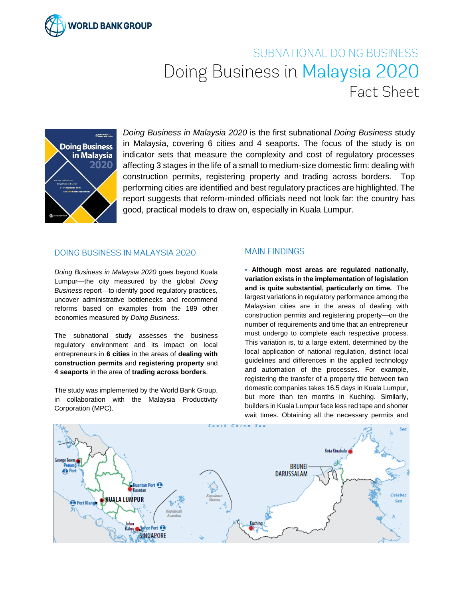

## SUBNATIONAL DOING BUSINESS Doing Business in Malaysia 2020 Fact Sheet



*Doing Business in Malaysia 2020* is the first subnational *Doing Business* study in Malaysia, covering 6 cities and 4 seaports. The focus of the study is on indicator sets that measure the complexity and cost of regulatory processes affecting 3 stages in the life of a small to medium-size domestic firm: dealing with construction permits, registering property and trading across borders. Top performing cities are identified and best regulatory practices are highlighted. The report suggests that reform-minded officials need not look far: the country has good, practical models to draw on, especially in Kuala Lumpur.

## **DOING BUSINESS IN MALAYSIA 2020**

*Doing Business in Malaysia 2020* goes beyond Kuala Lumpur—the city measured by the global *Doing Business* report*—*to identify good regulatory practices, uncover administrative bottlenecks and recommend reforms based on examples from the 189 other economies measured by *Doing Business*.

The subnational study assesses the business regulatory environment and its impact on local entrepreneurs in **6 cities** in the areas of **dealing with construction permits** and **registering property** and **4 seaports** in the area of **trading across borders**.

The study was implemented by the World Bank Group, in collaboration with the Malaysia Productivity Corporation (MPC).

## **MAIN FINDINGS**

**▪ Although most areas are regulated nationally, variation exists in the implementation of legislation and is quite substantial, particularly on time.** The largest variations in regulatory performance among the Malaysian cities are in the areas of dealing with construction permits and registering property—on the number of requirements and time that an entrepreneur must undergo to complete each respective process. This variation is, to a large extent, determined by the local application of national regulation, distinct local guidelines and differences in the applied technology and automation of the processes. For example, registering the transfer of a property title between two domestic companies takes 16.5 days in Kuala Lumpur, but more than ten months in Kuching. Similarly, builders in Kuala Lumpur face less red tape and shorter wait times. Obtaining all the necessary permits and